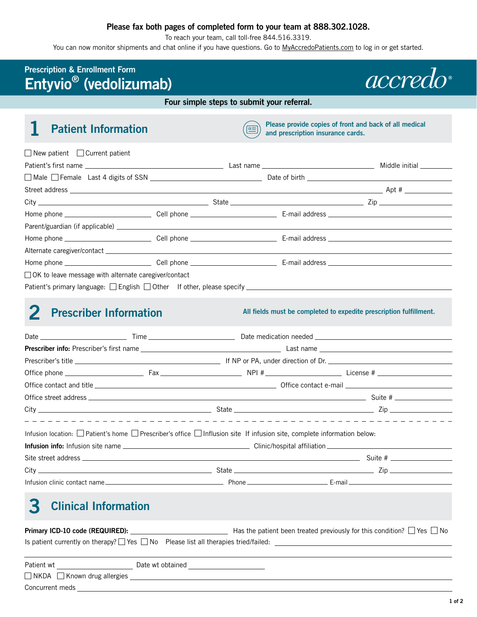#### **Please fax both pages of completed form to your team at 888.302.1028.**

To reach your team, call toll-free 844.516.3319.

You can now monitor shipments and chat online if you have questions. Go to [MyAccredoPatients.com](https://MyAccredoPatients.com) to log in or get started.

### **Prescription & Enrollment Form Entyvio® (vedolizumab)**



**Four simple steps to submit your referral.**



**1** Patient Information **Please** provide copies of front and back of all medical **Please** provide copies of front and back of all medical **and prescription insurance cards.**

| $\Box$ New patient $\Box$ Current patient                                               |  |  |
|-----------------------------------------------------------------------------------------|--|--|
|                                                                                         |  |  |
|                                                                                         |  |  |
|                                                                                         |  |  |
| $City$ $\qquad \qquad \qquad$ State $\qquad \qquad \qquad$ State $\qquad \qquad$ Zip    |  |  |
|                                                                                         |  |  |
|                                                                                         |  |  |
|                                                                                         |  |  |
|                                                                                         |  |  |
|                                                                                         |  |  |
| □ OK to leave message with alternate caregiver/contact                                  |  |  |
| Patient's primary language: $\Box$ English $\Box$ Other If other, please specify $\Box$ |  |  |
|                                                                                         |  |  |

### **2** Prescriber Information **All fields must be completed to expedite prescription fulfillment.**

| Infusion location: $\Box$ Patient's home $\Box$ Prescriber's office $\Box$ Influsion site If infusion site, complete information below: |  |                                                                                      |
|-----------------------------------------------------------------------------------------------------------------------------------------|--|--------------------------------------------------------------------------------------|
|                                                                                                                                         |  |                                                                                      |
|                                                                                                                                         |  |                                                                                      |
|                                                                                                                                         |  | $City$ $\qquad \qquad \qquad$ State $\qquad \qquad \qquad$ State $\qquad \qquad$ Zip |
|                                                                                                                                         |  |                                                                                      |

# **3 Clinical Information**

| Primary ICD-10 code (REQUIRED):                                                               | Has the patient been treated previously for this condition? $\Box$ Yes $\Box$ No |
|-----------------------------------------------------------------------------------------------|----------------------------------------------------------------------------------|
| Is patient currently on therapy? $\Box$ Yes $\Box$ No Please list all therapies tried/failed: |                                                                                  |
|                                                                                               |                                                                                  |

| Patient wt                              | Date wt obtained |
|-----------------------------------------|------------------|
| $\Box$ NKDA $\Box$ Known drug allergies |                  |
| Concurrent meds                         |                  |